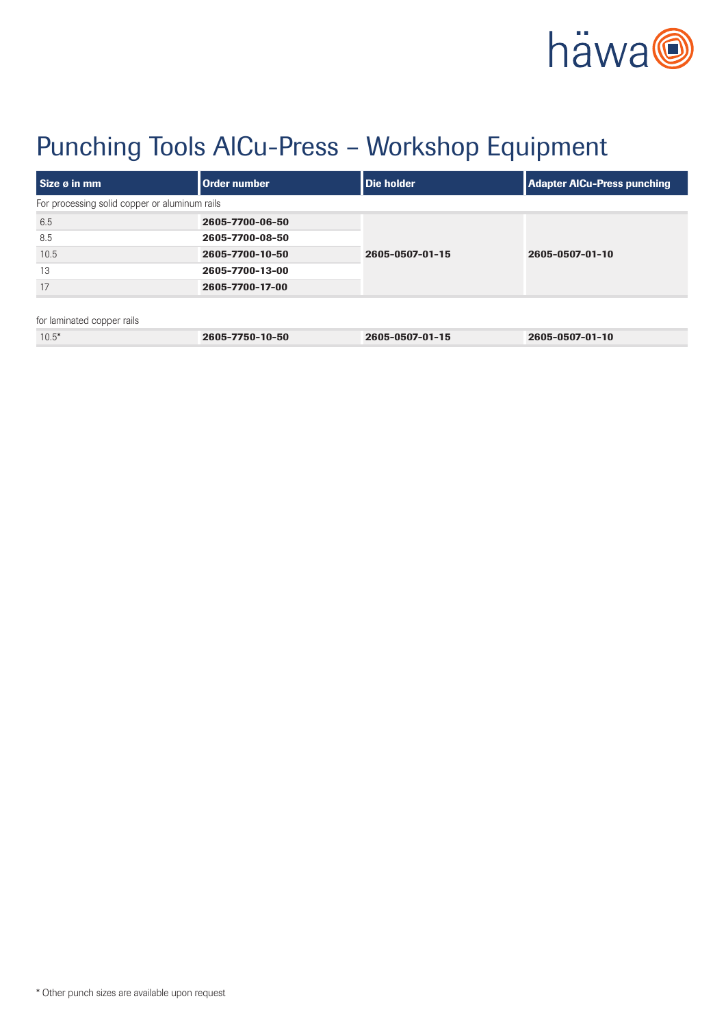

# Punching Tools AlCu-Press – Workshop Equipment

| Size ø in mm                                  | Order number    | Die holder      | <b>Adapter AICu-Press punching</b> |
|-----------------------------------------------|-----------------|-----------------|------------------------------------|
| For processing solid copper or aluminum rails |                 |                 |                                    |
| 6.5                                           | 2605-7700-06-50 | 2605-0507-01-15 | 2605-0507-01-10                    |
| 8.5                                           | 2605-7700-08-50 |                 |                                    |
| 10.5                                          | 2605-7700-10-50 |                 |                                    |
| 13                                            | 2605-7700-13-00 |                 |                                    |
| 17                                            | 2605-7700-17-00 |                 |                                    |
|                                               |                 |                 |                                    |
| for laminated copper rails                    |                 |                 |                                    |
| $10.5*$                                       | 2605-7750-10-50 | 2605-0507-01-15 | 2605-0507-01-10                    |